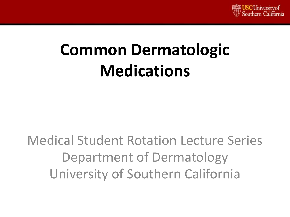

# **Common Dermatologic Medications**

Medical Student Rotation Lecture Series Department of Dermatology University of Southern California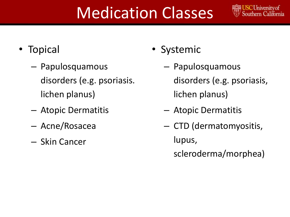# Medication Classes



- Topical
	- Papulosquamous disorders (e.g. psoriasis. lichen planus)
	- Atopic Dermatitis
	- Acne/Rosacea
	- Skin Cancer
- Systemic
	- Papulosquamous disorders (e.g. psoriasis, lichen planus)
	- Atopic Dermatitis
	- CTD (dermatomyositis, lupus, scleroderma/morphea)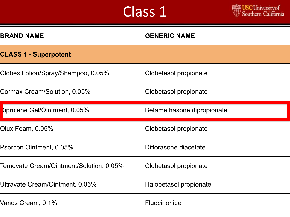

| <b>BRAND NAME</b>                       | <b>GENERIC NAME</b>        |
|-----------------------------------------|----------------------------|
| <b>CLASS 1 - Superpotent</b>            |                            |
| Clobex Lotion/Spray/Shampoo, 0.05%      | Clobetasol propionate      |
| Cormax Cream/Solution, 0.05%            | Clobetasol propionate      |
| Diprolene Gel/Ointment, 0.05%           | Betamethasone dipropionate |
|                                         |                            |
| Olux Foam, 0.05%                        | Clobetasol propionate      |
| Psorcon Ointment, 0.05%                 | Diflorasone diacetate      |
| Temovate Cream/Ointment/Solution, 0.05% | Clobetasol propionate      |
| Ultravate Cream/Ointment, 0.05%         | Halobetasol propionate     |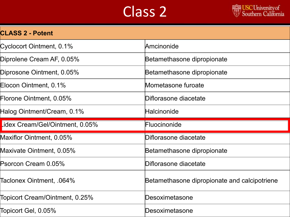#### Class<sub>2</sub>



| <b>CLASS 2 - Potent</b>                              |                                              |
|------------------------------------------------------|----------------------------------------------|
| Cyclocort Ointment, 0.1%                             | Amcinonide                                   |
| Diprolene Cream AF, 0.05%                            | Betamethasone dipropionate                   |
| Diprosone Ointment, 0.05%                            | Betamethasone dipropionate                   |
| Elocon Ointment, 0.1%                                | Mometasone furoate                           |
| Florone Ointment, 0.05%                              | Diflorasone diacetate                        |
| Halog Ointment/Cream, 0.1%                           | Halcinonide                                  |
| Lidex Cream/Gel/Ointment, 0.05%                      | Fluocinonide                                 |
|                                                      |                                              |
|                                                      | Diflorasone diacetate                        |
| Maxiflor Ointment, 0.05%<br>Maxivate Ointment, 0.05% | Betamethasone dipropionate                   |
| Psorcon Cream 0.05%                                  | Diflorasone diacetate                        |
| Taclonex Ointment, .064%                             | Betamethasone dipropionate and calcipotriene |
| Topicort Cream/Ointment, 0.25%                       | Desoximetasone                               |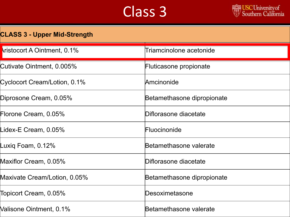

| <b>CLASS 3 - Upper Mid-Strength</b> |                            |  |
|-------------------------------------|----------------------------|--|
| Aristocort A Ointment, 0.1%         | Triamcinolone acetonide    |  |
| Cutivate Ointment, 0.005%           | Fluticasone propionate     |  |
| Cyclocort Cream/Lotion, 0.1%        | Amcinonide                 |  |
| Diprosone Cream, 0.05%              | Betamethasone dipropionate |  |
| Florone Cream, 0.05%                | Diflorasone diacetate      |  |
| Lidex-E Cream, 0.05%                | Fluocinonide               |  |
| Luxiq Foam, 0.12%                   | Betamethasone valerate     |  |
| Maxiflor Cream, 0.05%               | Diflorasone diacetate      |  |
| Maxivate Cream/Lotion, 0.05%        | Betamethasone dipropionate |  |
| Topicort Cream, 0.05%               | Desoximetasone             |  |
| Valisone Ointment, 0.1%             | Betamethasone valerate     |  |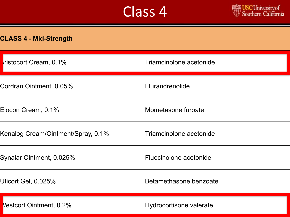

|  | <b>CLASS 4 - Mid-Strength</b> |
|--|-------------------------------|
|--|-------------------------------|

| ristocort Cream, 0.1%              | Triamcinolone acetonide |
|------------------------------------|-------------------------|
| Cordran Ointment, 0.05%            | Flurandrenolide         |
| Elocon Cream, 0.1%                 | Mometasone furoate      |
| Kenalog Cream/Ointment/Spray, 0.1% | Triamcinolone acetonide |
| Synalar Ointment, 0.025%           | Fluocinolone acetonide  |
| Uticort Gel, 0.025%                | Betamethasone benzoate  |
| Vestcort Ointment, 0.2%            | Hydrocortisone valerate |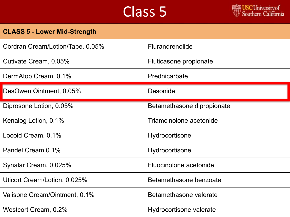

| <b>CLASS 5 - Lower Mid-Strength</b> |                            |
|-------------------------------------|----------------------------|
| Cordran Cream/Lotion/Tape, 0.05%    | <b>Flurandrenolide</b>     |
| Cutivate Cream, 0.05%               | Fluticasone propionate     |
| DermAtop Cream, 0.1%                | Prednicarbate              |
| DesOwen Ointment, 0.05%             | <b>Desonide</b>            |
| Diprosone Lotion, 0.05%             | Betamethasone dipropionate |
| Kenalog Lotion, 0.1%                | Triamcinolone acetonide    |
| Locoid Cream, 0.1%                  | Hydrocortisone             |
| Pandel Cream 0.1%                   | Hydrocortisone             |
| Synalar Cream, 0.025%               | Fluocinolone acetonide     |
| Uticort Cream/Lotion, 0.025%        | Betamethasone benzoate     |
| Valisone Cream/Ointment, 0.1%       | Betamethasone valerate     |
| Westcort Cream, 0.2%                | Hydrocortisone valerate    |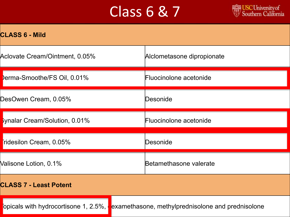## Class 6 & 7



| <b>CLASS 6 - Mild</b> |
|-----------------------|
|-----------------------|

| Aclovate Cream/Ointment, 0.05%     | Alclometasone dipropionate |
|------------------------------------|----------------------------|
| <b>Perma-Smoothe/FS Oil, 0.01%</b> | Fluocinolone acetonide     |
| DesOwen Cream, 0.05%               | Desonide                   |
| Synalar Cream/Solution, 0.01%      | Fluocinolone acetonide     |
|                                    |                            |
| ridesilon Cream, 0.05%             | Desonide                   |
| Valisone Lotion, 0.1%              | Betamethasone valerate     |
| <b>CLASS 7 - Least Potent</b>      |                            |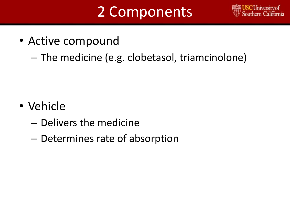# 2 Components



- Active compound
	- The medicine (e.g. clobetasol, triamcinolone)

- Vehicle
	- Delivers the medicine
	- Determines rate of absorption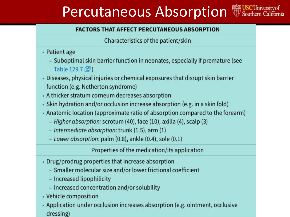## Percutaneous Absorption WSCUniversity of



Characteristics of the patient/skin

- Patient age
	- Suboptimal skin barrier function in neonates, especially if premature (see Table 129.7 (2)
- . Diseases, physical injuries or chemical exposures that disrupt skin barrier function (e.g. Netherton syndrome)
- A thicker stratum corneum decreases absorption
- Skin hydration and/or occlusion increase absorption (e.g. in a skin fold)
- Anatomic location (approximate ratio of absorption compared to the forearm)
	- Higher absorption: scrotum (40), face (10), axilla (4), scalp (3)
	- Intermediate absorption: trunk (1.5), arm (1)
	- Lower absorption: palm (0.8), ankle (0.4), sole (0.1)

Properties of the medication/its application

- Drug/prodrug properties that increase absorption
	- Smaller molecular size and/or lower frictional coefficient
	- Increased lipophilicity
	- Increased concentration and/or solubility
- Vehicle composition
- Application under occlusion increases absorption (e.g. ointment, occlusive dressing)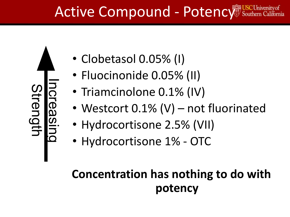# Active Compound - Potency South

Increasing trengtl

- Clobetasol 0.05% (I)
- Fluocinonide 0.05% (II)
- Triamcinolone 0.1% (IV)
- Westcort 0.1% (V) not fluorinated
- Hydrocortisone 2.5% (VII)
- Hydrocortisone 1% OTC

#### **Concentration has nothing to do with potency**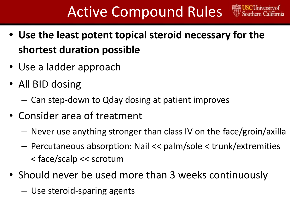# Active Compound Rules

- **• Use the least potent topical steroid necessary for the shortest duration possible**
- Use a ladder approach
- All BID dosing
	- Can step-down to Qday dosing at patient improves
- Consider area of treatment
	- Never use anything stronger than class IV on the face/groin/axilla
	- Percutaneous absorption: Nail << palm/sole < trunk/extremities < face/scalp << scrotum
- Should never be used more than 3 weeks continuously
	- Use steroid-sparing agents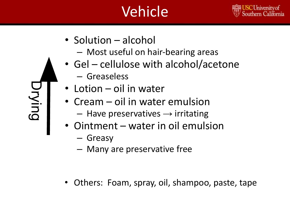# Vehicle



- Solution alcohol
	- Most useful on hair-bearing areas
- Gel cellulose with alcohol/acetone
	- Greaseless
- Lotion oil in water
- Cream oil in water emulsion
	- $-$  Have preservatives  $\rightarrow$  irritating
- Ointment water in oil emulsion
	- Greasy

Drying

– Many are preservative free

• Others: Foam, spray, oil, shampoo, paste, tape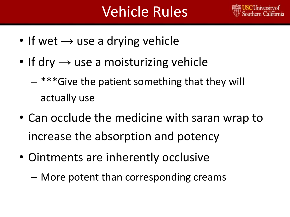# Vehicle Rules



- If wet  $\rightarrow$  use a drying vehicle
- If dry  $\rightarrow$  use a moisturizing vehicle
	- $-$  \*\*\* Give the patient something that they will actually use
- Can occlude the medicine with saran wrap to increase the absorption and potency
- Ointments are inherently occlusive
	- More potent than corresponding creams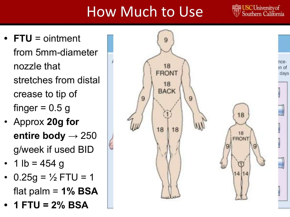# How Much to Use

**Chiversity of** Southern California

- **• FTU** = ointment from 5mm-diameter nozzle that stretches from distal crease to tip of finger  $= 0.5$  g
- Approx **20g for entire body** → 250 g/week if used BID
- 1 lb = 454 g
- 0.25g =  $\frac{1}{2}$  FTU = 1 flat palm = **1% BSA**
- **• 1 FTU = 2% BSA**

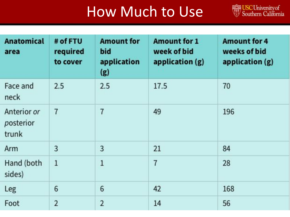## How Much to Use

USC University of<br>Southern California

| <b>Anatomical</b><br>area         | # of FTU<br>required<br>to cover | <b>Amount for</b><br>bid<br>application<br>(g) | <b>Amount for 1</b><br>week of bid<br>application (g) | <b>Amount for 4</b><br>weeks of bid<br>application (g) |
|-----------------------------------|----------------------------------|------------------------------------------------|-------------------------------------------------------|--------------------------------------------------------|
| Face and<br>neck                  | 2.5                              | 2.5                                            | 17.5                                                  | 70                                                     |
| Anterior or<br>posterior<br>trunk | $\overline{7}$                   | $\overline{7}$                                 | 49                                                    | 196                                                    |
| Arm                               | 3                                | 3                                              | 21                                                    | 84                                                     |
| Hand (both<br>sides)              | $\mathbf{1}$                     | $\mathbf{1}$                                   | 7                                                     | 28                                                     |
| Leg                               | 6                                | 6                                              | 42                                                    | 168                                                    |
| Foot                              | $\overline{2}$                   | $\overline{2}$                                 | 14                                                    | 56                                                     |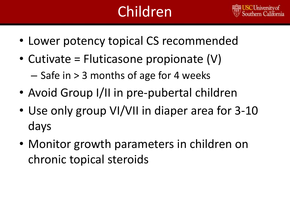# Children



- Lower potency topical CS recommended
- Cutivate = Fluticasone propionate (V) – Safe in > 3 months of age for 4 weeks
- Avoid Group I/II in pre-pubertal children
- Use only group VI/VII in diaper area for 3-10 days
- Monitor growth parameters in children on chronic topical steroids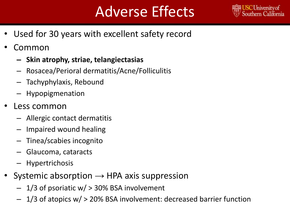# Adverse Effects



- Used for 30 years with excellent safety record
- Common
	- **– Skin atrophy, striae, telangiectasias**
	- Rosacea/Perioral dermatitis/Acne/Folliculitis
	- Tachyphylaxis, Rebound
	- Hypopigmenation
- Less common
	- Allergic contact dermatitis
	- Impaired wound healing
	- Tinea/scabies incognito
	- Glaucoma, cataracts
	- Hypertrichosis
- Systemic absorption  $\rightarrow$  HPA axis suppression
	- 1/3 of psoriatic w/ > 30% BSA involvement
	- $1/3$  of atopics w/ > 20% BSA involvement: decreased barrier function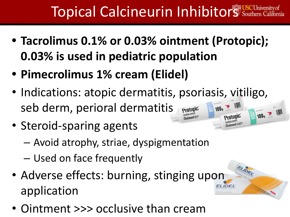# Topical Calcineurin Inhibitors Souther

ELIDEL.

- **• Tacrolimus 0.1% or 0.03% ointment (Protopic); 0.03% is used in pediatric population**
- **• Pimecrolimus 1% cream (Elidel)**
- Indications: atopic dermatitis, psoriasis, vitiligo, seb derm, perioral dermatitis Protopic  $100<sub>9</sub>$ 100g **Prntopic**
- Steroid-sparing agents
	- Avoid atrophy, striae, dyspigmentation
	- Used on face frequently
- Adverse effects: burning, stinging upon application
- Ointment >>> occlusive than cream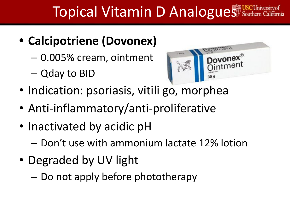# **Topical Vitamin D Analogues** South

#### **• Calcipotriene (Dovonex)**

- 0.005% cream, ointment
- Qday to BID



- Indication: psoriasis, vitili go, morphea
- Anti-inflammatory/anti-proliferative
- Inactivated by acidic pH
	- Don't use with ammonium lactate 12% lotion
- Degraded by UV light
	- Do not apply before phototherapy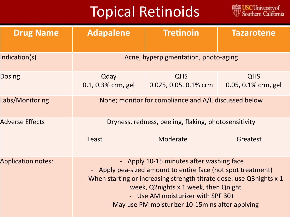# Topical Retinoids

USC University of<br>Southern California

| <b>Drug Name</b>          | <b>Adapalene</b>                                                                                                                                                                                                                                                                                                   | <b>Tretinoin</b>                    | <b>Tazarotene</b>                 |
|---------------------------|--------------------------------------------------------------------------------------------------------------------------------------------------------------------------------------------------------------------------------------------------------------------------------------------------------------------|-------------------------------------|-----------------------------------|
| Indication(s)             | Acne, hyperpigmentation, photo-aging                                                                                                                                                                                                                                                                               |                                     |                                   |
| <b>Dosing</b>             | Qday<br>0.1, 0.3% crm, gel                                                                                                                                                                                                                                                                                         | <b>QHS</b><br>0.025, 0.05. 0.1% crm | <b>QHS</b><br>0.05, 0.1% crm, gel |
| Labs/Monitoring           | None; monitor for compliance and A/E discussed below                                                                                                                                                                                                                                                               |                                     |                                   |
| <b>Adverse Effects</b>    | Dryness, redness, peeling, flaking, photosensitivity                                                                                                                                                                                                                                                               |                                     |                                   |
|                           | Least                                                                                                                                                                                                                                                                                                              | Moderate                            | Greatest                          |
| <b>Application notes:</b> | - Apply 10-15 minutes after washing face<br>- Apply pea-sized amount to entire face (not spot treatment)<br>When starting or increasing strength titrate dose: use Q3nights x 1<br>week, Q2nights x 1 week, then Qnight<br>- Use AM moisturizer with SPF 30+<br>- May use PM moisturizer 10-15 mins after applying |                                     |                                   |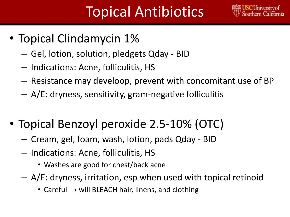# Topical Antibiotics



- Topical Clindamycin 1%
	- Gel, lotion, solution, pledgets Qday BID
	- Indications: Acne, folliculitis, HS
	- Resistance may develoop, prevent with concomitant use of BP
	- A/E: dryness, sensitivity, gram-negative folliculitis
- Topical Benzoyl peroxide 2.5-10% (OTC)
	- Cream, gel, foam, wash, lotion, pads Qday BID
	- Indications: Acne, folliculitis, HS
		- Washes are good for chest/back acne
	- A/E: dryness, irritation, esp when used with topical retinoid
		- Careful  $\rightarrow$  will BLEACH hair, linens, and clothing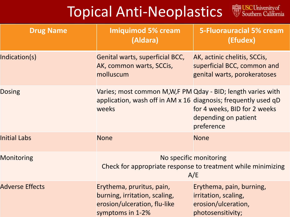# Topical Anti-Neoplastics WSCUniversity of



| <b>Drug Name</b>       | <b>Imiquimod 5% cream</b><br>(Aldara)                                                                                                  | <b>5-Fluorauracial 5% cream</b><br>(Efudex)                                                  |
|------------------------|----------------------------------------------------------------------------------------------------------------------------------------|----------------------------------------------------------------------------------------------|
| Indication(s)          | Genital warts, superficial BCC,<br>AK, common warts, SCCis,<br>molluscum                                                               | AK, actinic chelitis, SCCis,<br>superficial BCC, common and<br>genital warts, porokeratoses  |
| <b>Dosing</b>          | Varies; most common M,W,F PM Qday - BID; length varies with<br>application, wash off in AM x 16 diagnosis; frequently used qD<br>weeks | for 4 weeks, BID for 2 weeks<br>depending on patient<br>preference                           |
| <b>Initial Labs</b>    | <b>None</b>                                                                                                                            | <b>None</b>                                                                                  |
| <b>Monitoring</b>      | No specific monitoring<br>Check for appropriate response to treatment while minimizing<br>A/E                                          |                                                                                              |
| <b>Adverse Effects</b> | Erythema, pruritus, pain,<br>burning, irritation, scaling,<br>erosion/ulceration, flu-like<br>symptoms in 1-2%                         | Erythema, pain, burning,<br>irritation, scaling,<br>erosion/ulceration,<br>photosensitivity; |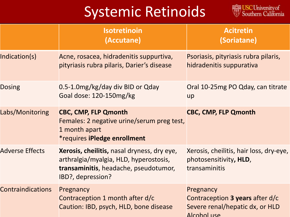## Systemic Retinoids



|                          | <b>Isotretinoin</b><br>(Accutane)                                                                                                                   | <b>Acitretin</b><br>(Soriatane)                                                                |
|--------------------------|-----------------------------------------------------------------------------------------------------------------------------------------------------|------------------------------------------------------------------------------------------------|
| Indication(s)            | Acne, rosacea, hidradenitis suppurtiva,<br>pityriasis rubra pilaris, Darier's disease                                                               | Psoriasis, pityriasis rubra pilaris,<br>hidradenitis suppurativa                               |
| <b>Dosing</b>            | 0.5-1.0mg/kg/day div BID or Qday<br>Goal dose: 120-150mg/kg                                                                                         | Oral 10-25mg PO Qday, can titrate<br>up                                                        |
| Labs/Monitoring          | <b>CBC, CMP, FLP Qmonth</b><br>Females: 2 negative urine/serum preg test,<br>1 month apart<br><i>*requires iPledge enrollment</i>                   | <b>CBC, CMP, FLP Qmonth</b>                                                                    |
| <b>Adverse Effects</b>   | Xerosis, cheilitis, nasal dryness, dry eye,<br>arthralgia/myalgia, HLD, hyperostosis,<br>transaminitis, headache, pseudotumor,<br>IBD?, depression? | Xerosis, cheilitis, hair loss, dry-eye,<br>photosensitivity, HLD,<br>transaminitis             |
| <b>Contraindications</b> | Pregnancy<br>Contraception 1 month after d/c<br>Caution: IBD, psych, HLD, bone disease                                                              | Pregnancy<br>Contraception 3 years after d/c<br>Severe renal/hepatic dx, or HLD<br>Alcohol use |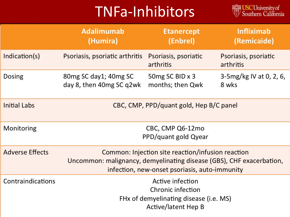# TNFa-Inhibitors



|                        | <b>Adalimumab</b><br>(Humira)                                                                                                                                              | <b>Etanercept</b><br>(Enbrel)       | <b>Infliximab</b><br>(Remicaide)  |
|------------------------|----------------------------------------------------------------------------------------------------------------------------------------------------------------------------|-------------------------------------|-----------------------------------|
| Indication(s)          | Psoriasis, psoriatic arthritis                                                                                                                                             | Psoriasis, psoriatic<br>arthritis   | Psoriasis, psoriatic<br>arthritis |
| Dosing                 | 80mg SC day1; 40mg SC<br>day 8, then 40mg SC q2wk                                                                                                                          | 50mg SC BID x 3<br>months; then Qwk | 3-5 mg/kg IV at 0, 2, 6,<br>8 wks |
| <b>Initial Labs</b>    | CBC, CMP, PPD/quant gold, Hep B/C panel                                                                                                                                    |                                     |                                   |
| Monitoring             | CBC, CMP Q6-12mo<br>PPD/quant gold Qyear                                                                                                                                   |                                     |                                   |
| <b>Adverse Effects</b> | Common: Injection site reaction/infusion reaction<br>Uncommon: malignancy, demyelinating disease (GBS), CHF exacerbation,<br>infection, new-onset psoriasis, auto-immunity |                                     |                                   |
| Contraindications      | Active infection<br>Chronic infection<br>FHx of demyelinating disease (i.e. MS)<br>Active/latent Hep B                                                                     |                                     |                                   |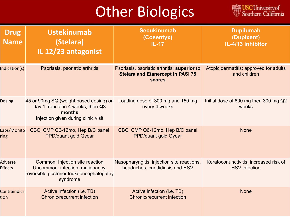# **Other Biologics**



| <b>Drug</b><br><b>Name</b> | <b>Ustekinumab</b><br>(Stelara)<br>IL 12/23 antagonist                                                                       | <b>Secukinumab</b><br>(Cosentyx)<br>$IL-17$                                                              | <b>Dupilumab</b><br>(Dupixent)<br>IL-4/13 inhibitor            |
|----------------------------|------------------------------------------------------------------------------------------------------------------------------|----------------------------------------------------------------------------------------------------------|----------------------------------------------------------------|
| Indication(s)              | Psoriasis, psoriatic arthritis                                                                                               | Psoriasis, psoriatic arthritis; superior to<br><b>Stelara and Etanercept in PASI 75</b><br><b>scores</b> | Atopic dermatitis; approved for adults<br>and children         |
| <b>Dosing</b>              | 45 or 90mg SQ (weight based dosing) on<br>day 1; repeat in 4 weeks; then Q3<br>months<br>Injection given during clinic visit | Loading dose of 300 mg and 150 mg<br>every 4 weeks                                                       | Initial dose of 600 mg then 300 mg Q2<br>weeks                 |
| Labs/Monito<br>ring        | CBC, CMP Q6-12mo, Hep B/C panel<br>PPD/quant gold Qyear                                                                      | CBC, CMP Q6-12mo, Hep B/C panel<br>PPD/quant gold Qyear                                                  | <b>None</b>                                                    |
| Adverse<br><b>Effects</b>  | Common: Injection site reaction<br>Uncommon: infection, malignancy,<br>reversible posterior leukoencephalopathy<br>syndrome  | Nasopharyngitis, injection site reactions,<br>headaches, candidiasis and HSV                             | Keratoconunctivitis, increased risk of<br><b>HSV</b> infection |
| Contraindica<br>tion       | Active infection (i.e. TB)<br><b>Chronic/recurrent infection</b>                                                             | Active infection (i.e. TB)<br><b>Chronic/recurrent infection</b>                                         | <b>None</b>                                                    |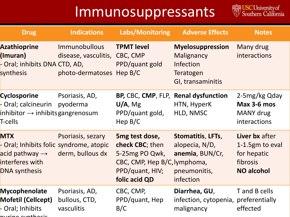#### Immunosuppressants



| <b>Drug</b>                                                                                                                    | <b>Indications</b>                                                | Labs/Monitoring                                                                                                         | <b>Adverse Effects</b>                                                                      | <b>Notes</b>                                                                      |
|--------------------------------------------------------------------------------------------------------------------------------|-------------------------------------------------------------------|-------------------------------------------------------------------------------------------------------------------------|---------------------------------------------------------------------------------------------|-----------------------------------------------------------------------------------|
| <b>Azathioprine</b><br>(Imuran)<br>Oral; inhibits DNA CTD, AD,<br>synthesis                                                    | Immunobullous<br>disease, vasculitis,<br>photo-dermatoses Hep B/C | <b>TPMT level</b><br>CBC, CMP<br>PPD/quant gold                                                                         | <b>Myelosuppression</b><br>Malignancy<br><b>Infection</b><br>Teratogen<br>GI, transaminitis | Many drug<br>interactions                                                         |
| <b>Cyclosporine</b><br>- Oral; calcineurin<br>inhibitor $\rightarrow$ inhibits gangrenosum<br>T-cells                          | Psoriasis, AD,<br>pyoderma                                        | BP, CBC, CMP, FLP, Renal dysfunction<br>U/A, Mg<br>PPD/quant gold,<br>Hep $B/C$                                         | HTN, HyperK<br>HLD, NMSC                                                                    | 2-5mg/kg Qday<br>Max 3-6 mos<br>MANY drug<br>interactions                         |
| <b>MTX</b><br>- Oral; Inhibits folic syndrome, atopic<br>acid pathway $\rightarrow$<br>interferes with<br><b>DNA synthesis</b> | Psoriasis, sezary<br>derm, bullous dx                             | 5mg test dose,<br>check CBC; then<br>5-25mg PO Qwk,<br>CBC, CMP, Hep B/C, lymphoma,<br>PPD/quant, HIV;<br>folic acid QD | Stomatitis, LFTs,<br>alopecia, N/D,<br>anemia, BUN/Cr,<br>pneumonitis,<br>infection         | Liver bx after<br>1-1.5gm to eval<br>for hepatic<br>fibrosis<br><b>NO alcohol</b> |
| Mycophenolate<br><b>Mofetil (Cellcept)</b><br>- Oral; Inhibits<br>المثملم مالحمين بمنصب متثمر بالمر                            | Psoriasis, AD,<br>bullous, CTD,<br>vasculitis                     | CBC, CMP,<br>PPD/quant, Hep<br>B/C                                                                                      | Diarrhea, GU,<br>infection, cytopenia, preferentially<br>malignancy                         | T and B cells<br>effected                                                         |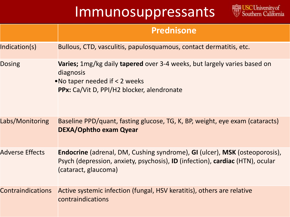#### Immunosuppressants



|                          | <b>Prednisone</b>                                                                                                                                                                          |
|--------------------------|--------------------------------------------------------------------------------------------------------------------------------------------------------------------------------------------|
| Indication(s)            | Bullous, CTD, vasculitis, papulosquamous, contact dermatitis, etc.                                                                                                                         |
| <b>Dosing</b>            | <b>Varies;</b> 1mg/kg daily <b>tapered</b> over 3-4 weeks, but largely varies based on<br>diagnosis<br>. No taper needed if < 2 weeks<br>PPx: Ca/Vit D, PPI/H2 blocker, alendronate        |
| Labs/Monitoring          | Baseline PPD/quant, fasting glucose, TG, K, BP, weight, eye exam (cataracts)<br><b>DEXA/Ophtho exam Qyear</b>                                                                              |
| <b>Adverse Effects</b>   | <b>Endocrine</b> (adrenal, DM, Cushing syndrome), GI (ulcer), MSK (osteoporosis),<br>Psych (depression, anxiety, psychosis), ID (infection), cardiac (HTN), ocular<br>(cataract, glaucoma) |
| <b>Contraindications</b> | Active systemic infection (fungal, HSV keratitis), others are relative<br>contraindications                                                                                                |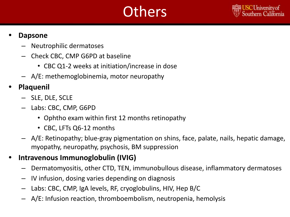# **Others**



#### **• Dapsone**

- Neutrophilic dermatoses
- Check CBC, CMP G6PD at baseline
	- CBC Q1-2 weeks at initiation/increase in dose
- A/E: methemoglobinemia, motor neuropathy
- **• Plaquenil**
	- SLE, DLE, SCLE
	- Labs: CBC, CMP, G6PD
		- Ophtho exam within first 12 months retinopathy
		- CBC, LFTs Q6-12 months
	- A/E: Retinopathy; blue-gray pigmentation on shins, face, palate, nails, hepatic damage, myopathy, neuropathy, psychosis, BM suppression

#### **• Intravenous Immunoglobulin (IVIG)**

- Dermatomyositis, other CTD, TEN, immunobullous disease, inflammatory dermatoses
- IV infusion, dosing varies depending on diagnosis
- Labs: CBC, CMP, IgA levels, RF, cryoglobulins, HIV, Hep B/C
- A/E: Infusion reaction, thromboembolism, neutropenia, hemolysis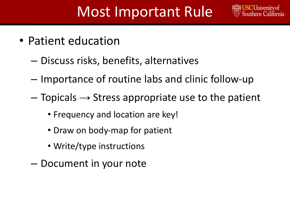#### Most Important Rule

- Patient education
	- Discuss risks, benefits, alternatives
	- Importance of routine labs and clinic follow-up
	- $-$  Topicals  $\rightarrow$  Stress appropriate use to the patient
		- Frequency and location are key!
		- Draw on body-map for patient
		- Write/type instructions
	- Document in your note